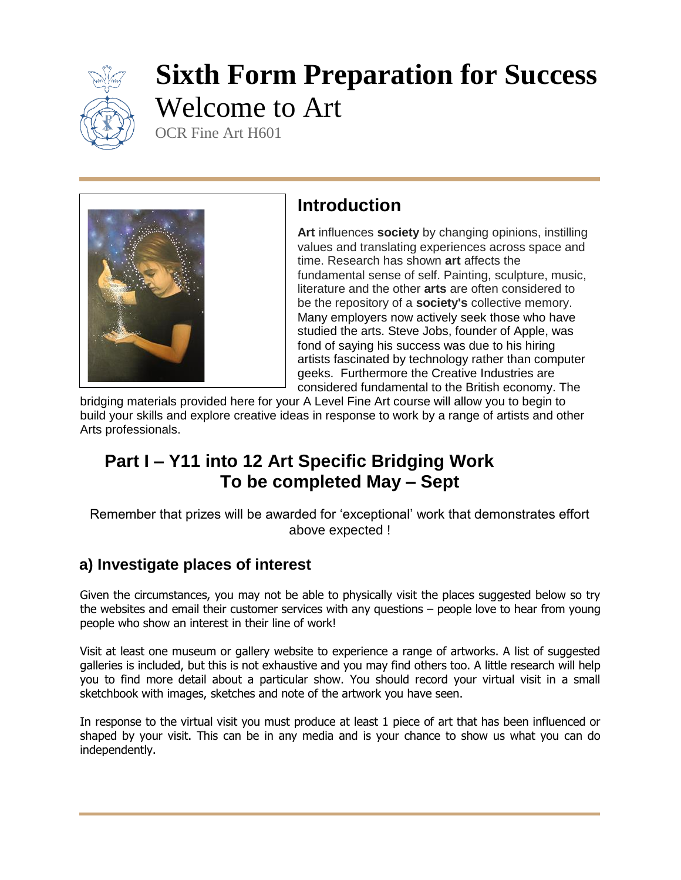

# **Sixth Form Preparation for Success** Welcome to Art

OCR Fine Art H601



# **Introduction**

**Art** influences **society** by changing opinions, instilling values and translating experiences across space and time. Research has shown **art** affects the fundamental sense of self. Painting, sculpture, music, literature and the other **arts** are often considered to be the repository of a **society's** collective memory. Many employers now actively seek those who have studied the arts. Steve Jobs, founder of Apple, was fond of saying his success was due to his hiring artists fascinated by technology rather than computer geeks. Furthermore the Creative Industries are considered fundamental to the British economy. The

bridging materials provided here for your A Level Fine Art course will allow you to begin to build your skills and explore creative ideas in response to work by a range of artists and other Arts professionals.

# **Part I – Y11 into 12 Art Specific Bridging Work To be completed May – Sept**

Remember that prizes will be awarded for 'exceptional' work that demonstrates effort above expected !

## **a) Investigate places of interest**

Given the circumstances, you may not be able to physically visit the places suggested below so try the websites and email their customer services with any questions – people love to hear from young people who show an interest in their line of work!

Visit at least one museum or gallery website to experience a range of artworks. A list of suggested galleries is included, but this is not exhaustive and you may find others too. A little research will help you to find more detail about a particular show. You should record your virtual visit in a small sketchbook with images, sketches and note of the artwork you have seen.

In response to the virtual visit you must produce at least 1 piece of art that has been influenced or shaped by your visit. This can be in any media and is your chance to show us what you can do independently.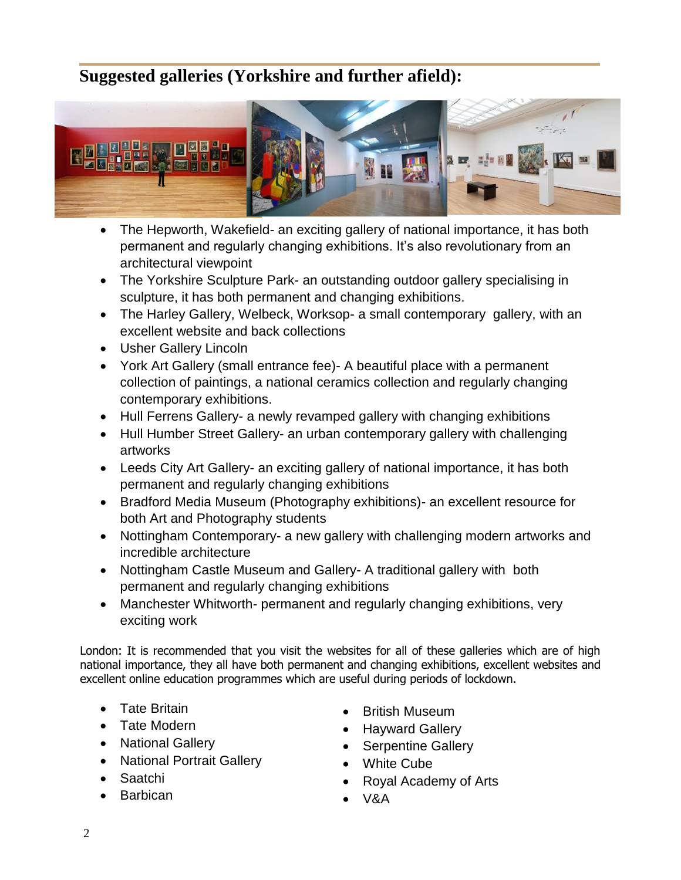## **Suggested galleries (Yorkshire and further afield):**



- The Hepworth, Wakefield- an exciting gallery of national importance, it has both permanent and regularly changing exhibitions. It's also revolutionary from an architectural viewpoint
- The Yorkshire Sculpture Park- an outstanding outdoor gallery specialising in sculpture, it has both permanent and changing exhibitions.
- The Harley Gallery, Welbeck, Worksop- a small contemporary gallery, with an excellent website and back collections
- Usher Gallery Lincoln
- York Art Gallery (small entrance fee)- A beautiful place with a permanent collection of paintings, a national ceramics collection and regularly changing contemporary exhibitions.
- Hull Ferrens Gallery- a newly revamped gallery with changing exhibitions
- Hull Humber Street Gallery- an urban contemporary gallery with challenging artworks
- Leeds City Art Gallery- an exciting gallery of national importance, it has both permanent and regularly changing exhibitions
- Bradford Media Museum (Photography exhibitions)- an excellent resource for both Art and Photography students
- Nottingham Contemporary- a new gallery with challenging modern artworks and incredible architecture
- Nottingham Castle Museum and Gallery- A traditional gallery with both permanent and regularly changing exhibitions
- Manchester Whitworth- permanent and regularly changing exhibitions, very exciting work

London: It is recommended that you visit the websites for all of these galleries which are of high national importance, they all have both permanent and changing exhibitions, excellent websites and excellent online education programmes which are useful during periods of lockdown.

- Tate Britain
- Tate Modern
- National Gallery
- National Portrait Gallery
- Saatchi
- **Barbican**
- British Museum
- Hayward Gallery
- Serpentine Gallery
- White Cube
- Royal Academy of Arts
- V&A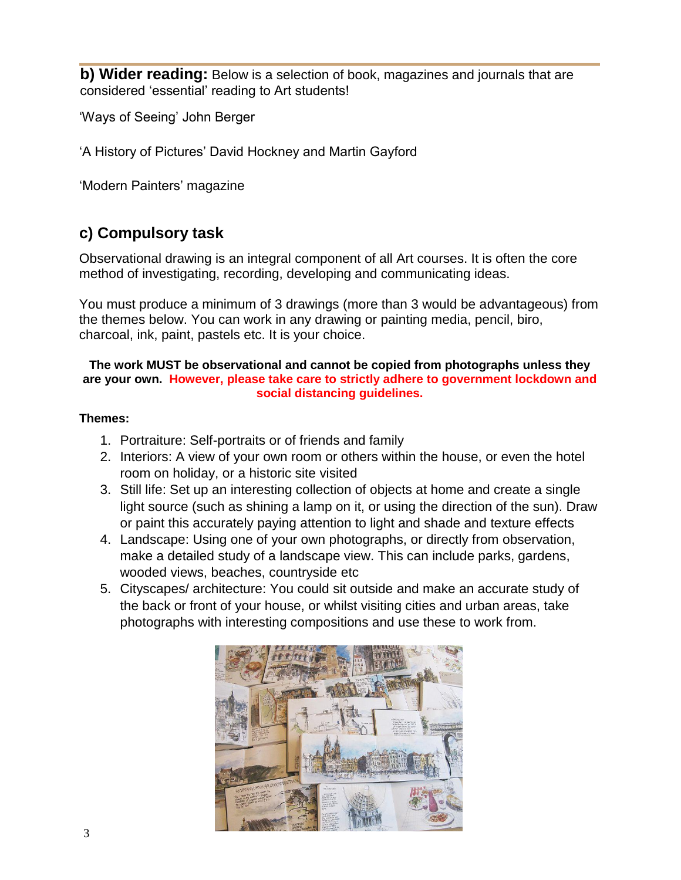**b) Wider reading:** Below is a selection of book, magazines and journals that are considered 'essential' reading to Art students!

'Ways of Seeing' John Berger

'A History of Pictures' David Hockney and Martin Gayford

'Modern Painters' magazine

## **c) Compulsory task**

Observational drawing is an integral component of all Art courses. It is often the core method of investigating, recording, developing and communicating ideas.

You must produce a minimum of 3 drawings (more than 3 would be advantageous) from the themes below. You can work in any drawing or painting media, pencil, biro, charcoal, ink, paint, pastels etc. It is your choice.

#### **The work MUST be observational and cannot be copied from photographs unless they are your own. However, please take care to strictly adhere to government lockdown and social distancing guidelines.**

#### **Themes:**

- 1. Portraiture: Self-portraits or of friends and family
- 2. Interiors: A view of your own room or others within the house, or even the hotel room on holiday, or a historic site visited
- 3. Still life: Set up an interesting collection of objects at home and create a single light source (such as shining a lamp on it, or using the direction of the sun). Draw or paint this accurately paying attention to light and shade and texture effects
- 4. Landscape: Using one of your own photographs, or directly from observation, make a detailed study of a landscape view. This can include parks, gardens, wooded views, beaches, countryside etc
- 5. Cityscapes/ architecture: You could sit outside and make an accurate study of the back or front of your house, or whilst visiting cities and urban areas, take photographs with interesting compositions and use these to work from.

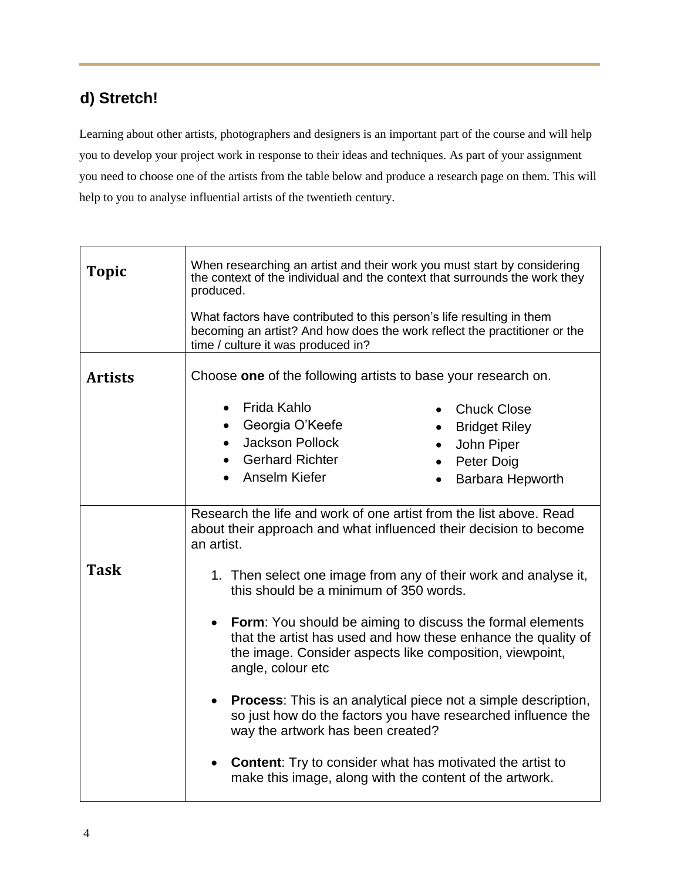## **d) Stretch!**

Learning about other artists, photographers and designers is an important part of the course and will help you to develop your project work in response to their ideas and techniques. As part of your assignment you need to choose one of the artists from the table below and produce a research page on them. This will help to you to analyse influential artists of the twentieth century.

| <b>Topic</b>   | When researching an artist and their work you must start by considering<br>the context of the individual and the context that surrounds the work they<br>produced.<br>What factors have contributed to this person's life resulting in them<br>becoming an artist? And how does the work reflect the practitioner or the<br>time / culture it was produced in? |                                                                                                                             |
|----------------|----------------------------------------------------------------------------------------------------------------------------------------------------------------------------------------------------------------------------------------------------------------------------------------------------------------------------------------------------------------|-----------------------------------------------------------------------------------------------------------------------------|
| <b>Artists</b> | Choose one of the following artists to base your research on.<br>Frida Kahlo<br><b>Chuck Close</b><br>$\bullet$                                                                                                                                                                                                                                                |                                                                                                                             |
|                | • Georgia O'Keefe                                                                                                                                                                                                                                                                                                                                              | <b>Bridget Riley</b>                                                                                                        |
|                | <b>Jackson Pollock</b>                                                                                                                                                                                                                                                                                                                                         | John Piper                                                                                                                  |
|                | <b>Gerhard Richter</b>                                                                                                                                                                                                                                                                                                                                         | Peter Doig                                                                                                                  |
|                | Anselm Kiefer                                                                                                                                                                                                                                                                                                                                                  | Barbara Hepworth                                                                                                            |
|                | Research the life and work of one artist from the list above. Read<br>about their approach and what influenced their decision to become<br>an artist.                                                                                                                                                                                                          |                                                                                                                             |
| <b>Task</b>    | this should be a minimum of 350 words.                                                                                                                                                                                                                                                                                                                         | 1. Then select one image from any of their work and analyse it,                                                             |
|                | <b>Form:</b> You should be aiming to discuss the formal elements<br>that the artist has used and how these enhance the quality of<br>the image. Consider aspects like composition, viewpoint,<br>angle, colour etc                                                                                                                                             |                                                                                                                             |
|                | <b>Process:</b> This is an analytical piece not a simple description,<br>so just how do the factors you have researched influence the<br>way the artwork has been created?                                                                                                                                                                                     |                                                                                                                             |
|                |                                                                                                                                                                                                                                                                                                                                                                | <b>Content:</b> Try to consider what has motivated the artist to<br>make this image, along with the content of the artwork. |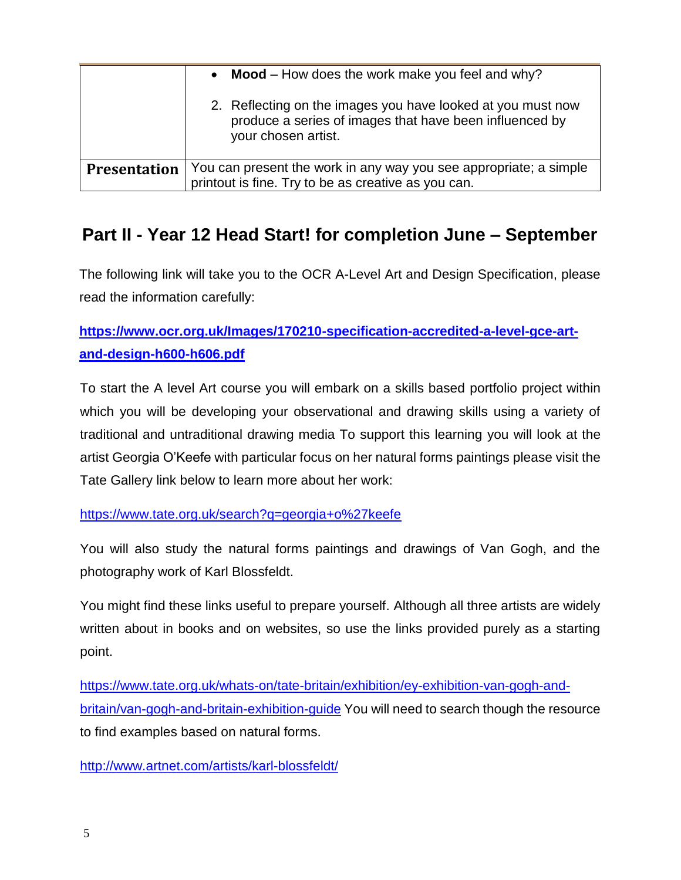|                     | • Mood $-$ How does the work make you feel and why?                                                                                           |  |
|---------------------|-----------------------------------------------------------------------------------------------------------------------------------------------|--|
|                     | 2. Reflecting on the images you have looked at you must now<br>produce a series of images that have been influenced by<br>your chosen artist. |  |
| <b>Presentation</b> | You can present the work in any way you see appropriate; a simple                                                                             |  |
|                     | printout is fine. Try to be as creative as you can.                                                                                           |  |

## **Part II - Year 12 Head Start! for completion June – September**

The following link will take you to the OCR A-Level Art and Design Specification, please read the information carefully:

## **[https://www.ocr.org.uk/Images/170210-specification-accredited-a-level-gce-art](https://www.ocr.org.uk/Images/170210-specification-accredited-a-level-gce-art-and-design-h600-h606.pdf)[and-design-h600-h606.pdf](https://www.ocr.org.uk/Images/170210-specification-accredited-a-level-gce-art-and-design-h600-h606.pdf)**

To start the A level Art course you will embark on a skills based portfolio project within which you will be developing your observational and drawing skills using a variety of traditional and untraditional drawing media To support this learning you will look at the artist Georgia O'Keefe with particular focus on her natural forms paintings please visit the Tate Gallery link below to learn more about her work:

### <https://www.tate.org.uk/search?q=georgia+o%27keefe>

You will also study the natural forms paintings and drawings of Van Gogh, and the photography work of Karl Blossfeldt.

You might find these links useful to prepare yourself. Although all three artists are widely written about in books and on websites, so use the links provided purely as a starting point.

[https://www.tate.org.uk/whats-on/tate-britain/exhibition/ey-exhibition-van-gogh-and](https://www.tate.org.uk/whats-on/tate-britain/exhibition/ey-exhibition-van-gogh-and-britain/van-gogh-and-britain-exhibition-guide)[britain/van-gogh-and-britain-exhibition-guide](https://www.tate.org.uk/whats-on/tate-britain/exhibition/ey-exhibition-van-gogh-and-britain/van-gogh-and-britain-exhibition-guide) You will need to search though the resource to find examples based on natural forms.

<http://www.artnet.com/artists/karl-blossfeldt/>